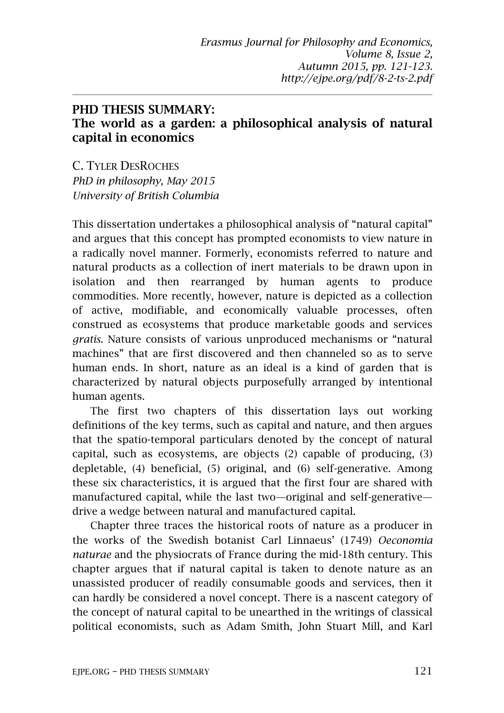## PHD THESIS SUMMARY: The world as a garden: a philosophical analysis of natural capital in economics

C. TYLER DESROCHES *PhD in philosophy, May 2015 University of British Columbia*

This dissertation undertakes a philosophical analysis of "natural capital" and argues that this concept has prompted economists to view nature in a radically novel manner. Formerly, economists referred to nature and natural products as a collection of inert materials to be drawn upon in isolation and then rearranged by human agents to produce commodities. More recently, however, nature is depicted as a collection of active, modifiable, and economically valuable processes, often construed as ecosystems that produce marketable goods and services *gratis*. Nature consists of various unproduced mechanisms or "natural machines" that are first discovered and then channeled so as to serve human ends. In short, nature as an ideal is a kind of garden that is characterized by natural objects purposefully arranged by intentional human agents.

The first two chapters of this dissertation lays out working definitions of the key terms, such as capital and nature, and then argues that the spatio-temporal particulars denoted by the concept of natural capital, such as ecosystems, are objects (2) capable of producing, (3) depletable, (4) beneficial, (5) original, and (6) self-generative. Among these six characteristics, it is argued that the first four are shared with manufactured capital, while the last two—original and self-generative drive a wedge between natural and manufactured capital.

Chapter three traces the historical roots of nature as a producer in the works of the Swedish botanist Carl Linnaeus' (1749) *Oeconomia naturae* and the physiocrats of France during the mid-18th century. This chapter argues that if natural capital is taken to denote nature as an unassisted producer of readily consumable goods and services, then it can hardly be considered a novel concept. There is a nascent category of the concept of natural capital to be unearthed in the writings of classical political economists, such as Adam Smith, John Stuart Mill, and Karl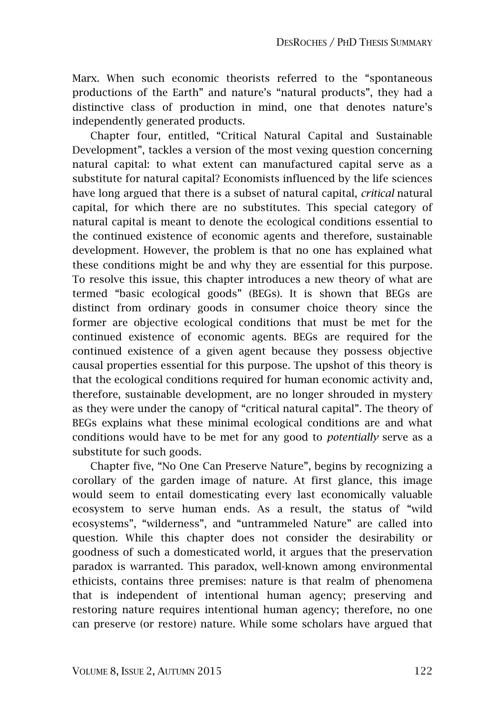Marx. When such economic theorists referred to the "spontaneous productions of the Earth" and nature's "natural products", they had a distinctive class of production in mind, one that denotes nature's independently generated products.

Chapter four, entitled, "Critical Natural Capital and Sustainable Development", tackles a version of the most vexing question concerning natural capital: to what extent can manufactured capital serve as a substitute for natural capital? Economists influenced by the life sciences have long argued that there is a subset of natural capital, *critical* natural capital, for which there are no substitutes. This special category of natural capital is meant to denote the ecological conditions essential to the continued existence of economic agents and therefore, sustainable development. However, the problem is that no one has explained what these conditions might be and why they are essential for this purpose. To resolve this issue, this chapter introduces a new theory of what are termed "basic ecological goods" (BEGs). It is shown that BEGs are distinct from ordinary goods in consumer choice theory since the former are objective ecological conditions that must be met for the continued existence of economic agents. BEGs are required for the continued existence of a given agent because they possess objective causal properties essential for this purpose. The upshot of this theory is that the ecological conditions required for human economic activity and, therefore, sustainable development, are no longer shrouded in mystery as they were under the canopy of "critical natural capital". The theory of BEGs explains what these minimal ecological conditions are and what conditions would have to be met for any good to *potentially* serve as a substitute for such goods.

Chapter five, "No One Can Preserve Nature", begins by recognizing a corollary of the garden image of nature. At first glance, this image would seem to entail domesticating every last economically valuable ecosystem to serve human ends. As a result, the status of "wild ecosystems", "wilderness", and "untrammeled Nature" are called into question. While this chapter does not consider the desirability or goodness of such a domesticated world, it argues that the preservation paradox is warranted. This paradox, well-known among environmental ethicists, contains three premises: nature is that realm of phenomena that is independent of intentional human agency; preserving and restoring nature requires intentional human agency; therefore, no one can preserve (or restore) nature. While some scholars have argued that